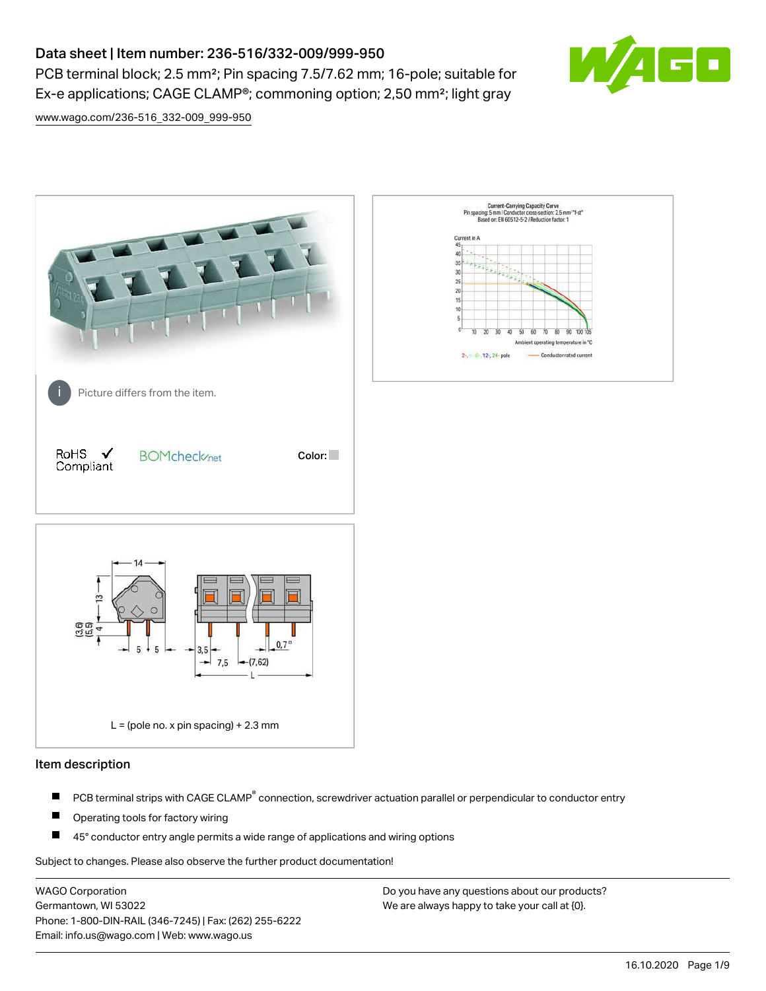# Data sheet | Item number: 236-516/332-009/999-950

PCB terminal block; 2.5 mm²; Pin spacing 7.5/7.62 mm; 16-pole; suitable for Ex-e applications; CAGE CLAMP®; commoning option; 2,50 mm²; light gray



[www.wago.com/236-516\\_332-009\\_999-950](http://www.wago.com/236-516_332-009_999-950)



## Item description

- PCB terminal strips with CAGE CLAMP<sup>®</sup> connection, screwdriver actuation parallel or perpendicular to conductor entry П
- П Operating tools for factory wiring
- П 45° conductor entry angle permits a wide range of applications and wiring options

Subject to changes. Please also observe the further product documentation!

WAGO Corporation Germantown, WI 53022 Phone: 1-800-DIN-RAIL (346-7245) | Fax: (262) 255-6222 Email: info.us@wago.com | Web: www.wago.us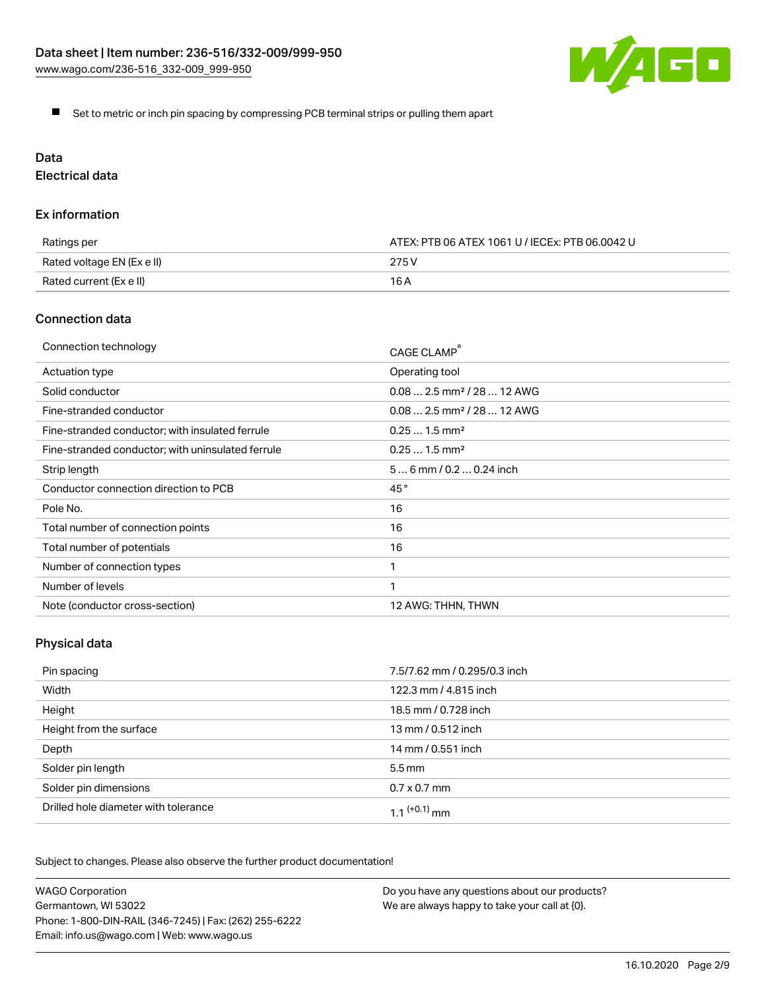

Set to metric or inch pin spacing by compressing PCB terminal strips or pulling them apart

# Data

Electrical data

## Ex information

| Ratings per                | ATEX: PTB 06 ATEX 1061 U / IECEx: PTB 06.0042 U |  |
|----------------------------|-------------------------------------------------|--|
| Rated voltage EN (Ex e II) | 275 V                                           |  |
| Rated current (Ex e II)    | 16 A                                            |  |

## Connection data

| Connection technology                             | CAGE CLAMP®                            |
|---------------------------------------------------|----------------------------------------|
| Actuation type                                    | Operating tool                         |
| Solid conductor                                   | $0.082.5$ mm <sup>2</sup> / 28  12 AWG |
| Fine-stranded conductor                           | $0.082.5$ mm <sup>2</sup> / 28  12 AWG |
| Fine-stranded conductor; with insulated ferrule   | $0.251.5$ mm <sup>2</sup>              |
| Fine-stranded conductor; with uninsulated ferrule | $0.251.5$ mm <sup>2</sup>              |
| Strip length                                      | $56$ mm / 0.2 $$ 0.24 inch             |
| Conductor connection direction to PCB             | 45°                                    |
| Pole No.                                          | 16                                     |
| Total number of connection points                 | 16                                     |
| Total number of potentials                        | 16                                     |
| Number of connection types                        |                                        |
| Number of levels                                  | 1                                      |
| Note (conductor cross-section)                    | 12 AWG: THHN, THWN                     |

# Physical data

| Pin spacing                          | 7.5/7.62 mm / 0.295/0.3 inch |
|--------------------------------------|------------------------------|
| Width                                | 122.3 mm / 4.815 inch        |
| Height                               | 18.5 mm / 0.728 inch         |
| Height from the surface              | 13 mm / 0.512 inch           |
| Depth                                | 14 mm / 0.551 inch           |
| Solder pin length                    | $5.5 \,\mathrm{mm}$          |
| Solder pin dimensions                | $0.7 \times 0.7$ mm          |
| Drilled hole diameter with tolerance | $1.1$ $(+0.1)$ mm            |

Subject to changes. Please also observe the further product documentation!

| <b>WAGO Corporation</b>                                | Do you have any questions about our products? |
|--------------------------------------------------------|-----------------------------------------------|
| Germantown, WI 53022                                   | We are always happy to take your call at {0}. |
| Phone: 1-800-DIN-RAIL (346-7245)   Fax: (262) 255-6222 |                                               |
| Email: info.us@wago.com   Web: www.wago.us             |                                               |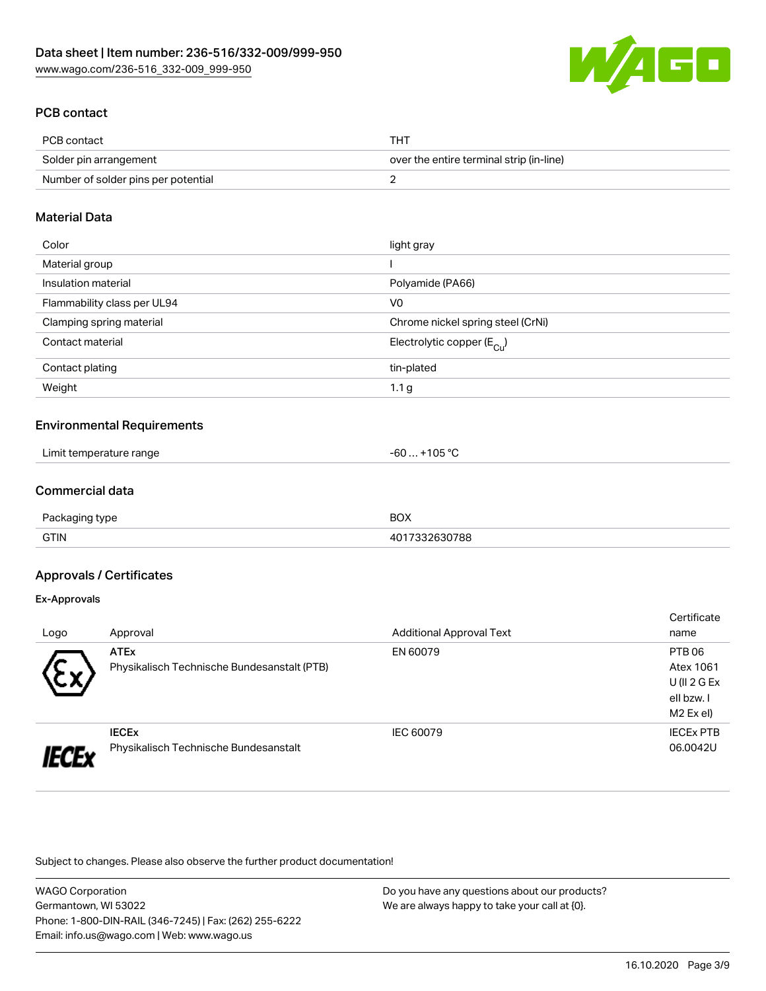

## PCB contact

| PCB contact                         | THT                                      |
|-------------------------------------|------------------------------------------|
| Solder pin arrangement              | over the entire terminal strip (in-line) |
| Number of solder pins per potential |                                          |

## Material Data

| Color                       | light gray                              |
|-----------------------------|-----------------------------------------|
| Material group              |                                         |
| Insulation material         | Polyamide (PA66)                        |
| Flammability class per UL94 | V <sub>0</sub>                          |
| Clamping spring material    | Chrome nickel spring steel (CrNi)       |
| Contact material            | Electrolytic copper ( $E_{\text{Cu}}$ ) |
| Contact plating             | tin-plated                              |
| Weight                      | 1.1 <sub>g</sub>                        |

### Environmental Requirements

| .<br>Limit temperature range | $\sim$ $\sim$ $\sim$<br>-6L<br>$\overline{\mathbf{u}}$ |  |
|------------------------------|--------------------------------------------------------|--|
|------------------------------|--------------------------------------------------------|--|

## Commercial data

| Do.<br>' type<br>anınn | <b>BOX</b> |
|------------------------|------------|
| <b>GTIN</b>            | 788        |

## Approvals / Certificates

#### Ex-Approvals

|      |                                             |                                 | Certificate      |
|------|---------------------------------------------|---------------------------------|------------------|
| Logo | Approval                                    | <b>Additional Approval Text</b> | name             |
|      | <b>ATEx</b>                                 | EN 60079                        | PTB 06           |
| w    | Physikalisch Technische Bundesanstalt (PTB) |                                 | Atex 1061        |
|      |                                             |                                 | $U($ ll 2 G Ex   |
|      |                                             |                                 | ell bzw. I       |
|      |                                             |                                 | M2 Ex el)        |
|      | <b>IECEX</b>                                | IEC 60079                       | <b>IECEX PTB</b> |
|      | Physikalisch Technische Bundesanstalt       |                                 | 06.0042U         |

Subject to changes. Please also observe the further product documentation!

| <b>WAGO Corporation</b>                                |  |
|--------------------------------------------------------|--|
| Germantown, WI 53022                                   |  |
| Phone: 1-800-DIN-RAIL (346-7245)   Fax: (262) 255-6222 |  |
| Email: info.us@wago.com   Web: www.wago.us             |  |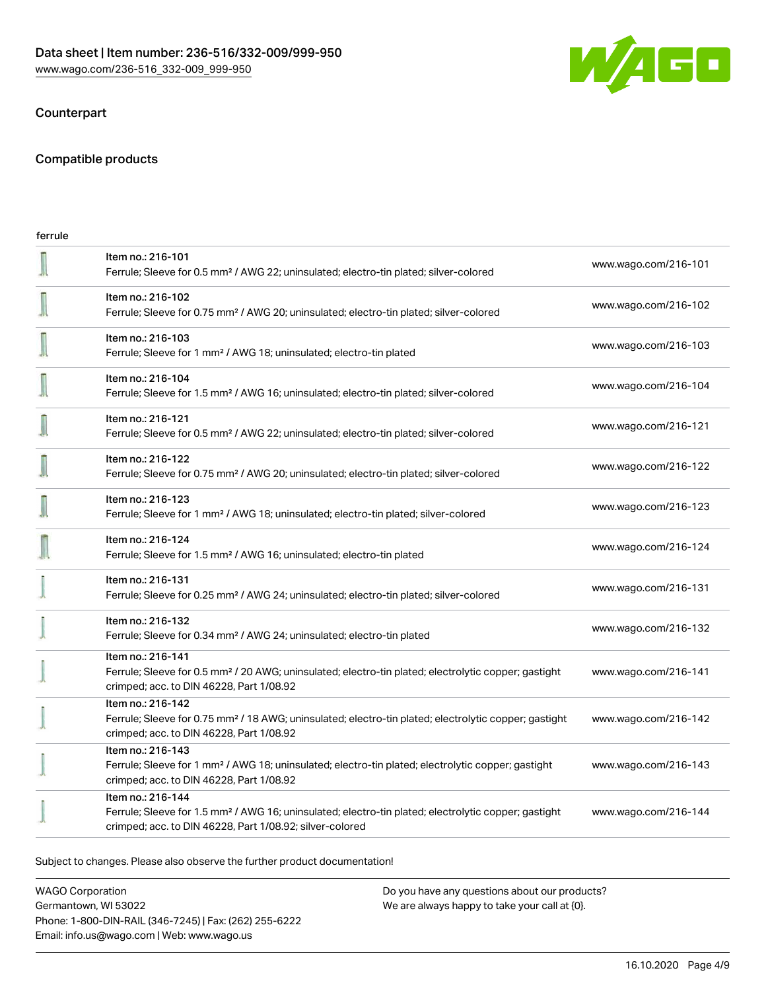

## Counterpart

## Compatible products

| Item no.: 216-101<br>Ferrule; Sleeve for 0.5 mm <sup>2</sup> / AWG 22; uninsulated; electro-tin plated; silver-colored                                                                            | www.wago.com/216-101 |
|---------------------------------------------------------------------------------------------------------------------------------------------------------------------------------------------------|----------------------|
| Item no.: 216-102<br>Ferrule; Sleeve for 0.75 mm <sup>2</sup> / AWG 20; uninsulated; electro-tin plated; silver-colored                                                                           | www.wago.com/216-102 |
| Item no.: 216-103<br>Ferrule; Sleeve for 1 mm <sup>2</sup> / AWG 18; uninsulated; electro-tin plated                                                                                              | www.wago.com/216-103 |
| Item no.: 216-104<br>Ferrule; Sleeve for 1.5 mm <sup>2</sup> / AWG 16; uninsulated; electro-tin plated; silver-colored                                                                            | www.wago.com/216-104 |
| Item no.: 216-121<br>Ferrule; Sleeve for 0.5 mm <sup>2</sup> / AWG 22; uninsulated; electro-tin plated; silver-colored                                                                            | www.wago.com/216-121 |
| Item no.: 216-122<br>Ferrule; Sleeve for 0.75 mm <sup>2</sup> / AWG 20; uninsulated; electro-tin plated; silver-colored                                                                           | www.wago.com/216-122 |
| Item no.: 216-123<br>Ferrule; Sleeve for 1 mm <sup>2</sup> / AWG 18; uninsulated; electro-tin plated; silver-colored                                                                              | www.wago.com/216-123 |
| Item no.: 216-124<br>Ferrule; Sleeve for 1.5 mm <sup>2</sup> / AWG 16; uninsulated; electro-tin plated                                                                                            | www.wago.com/216-124 |
| Item no.: 216-131<br>Ferrule; Sleeve for 0.25 mm <sup>2</sup> / AWG 24; uninsulated; electro-tin plated; silver-colored                                                                           | www.wago.com/216-131 |
| Item no.: 216-132<br>Ferrule; Sleeve for 0.34 mm <sup>2</sup> / AWG 24; uninsulated; electro-tin plated                                                                                           | www.wago.com/216-132 |
| Item no.: 216-141<br>Ferrule; Sleeve for 0.5 mm <sup>2</sup> / 20 AWG; uninsulated; electro-tin plated; electrolytic copper; gastight<br>crimped; acc. to DIN 46228, Part 1/08.92                 | www.wago.com/216-141 |
| Item no.: 216-142<br>Ferrule; Sleeve for 0.75 mm <sup>2</sup> / 18 AWG; uninsulated; electro-tin plated; electrolytic copper; gastight<br>crimped; acc. to DIN 46228, Part 1/08.92                | www.wago.com/216-142 |
| Item no.: 216-143<br>Ferrule; Sleeve for 1 mm <sup>2</sup> / AWG 18; uninsulated; electro-tin plated; electrolytic copper; gastight<br>crimped; acc. to DIN 46228, Part 1/08.92                   | www.wago.com/216-143 |
| Item no.: 216-144<br>Ferrule; Sleeve for 1.5 mm <sup>2</sup> / AWG 16; uninsulated; electro-tin plated; electrolytic copper; gastight<br>crimped; acc. to DIN 46228, Part 1/08.92; silver-colored | www.wago.com/216-144 |
|                                                                                                                                                                                                   |                      |

Subject to changes. Please also observe the further product documentation!

WAGO Corporation Germantown, WI 53022 Phone: 1-800-DIN-RAIL (346-7245) | Fax: (262) 255-6222 Email: info.us@wago.com | Web: www.wago.us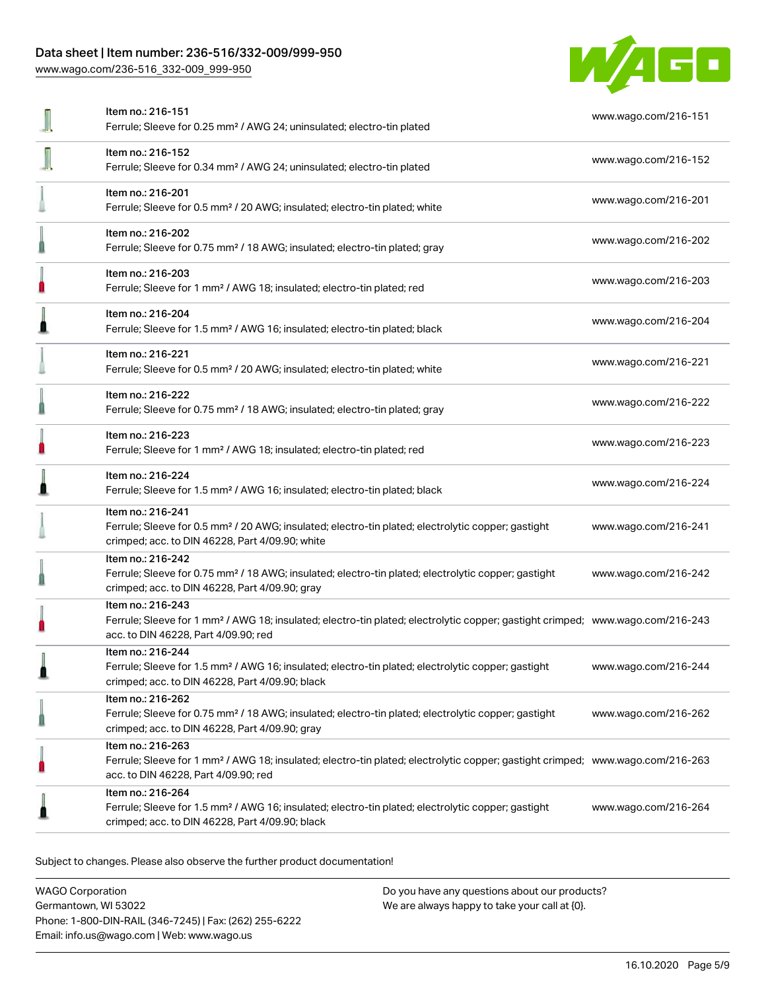## Data sheet | Item number: 236-516/332-009/999-950

[www.wago.com/236-516\\_332-009\\_999-950](http://www.wago.com/236-516_332-009_999-950)



|   | Item no.: 216-151<br>Ferrule; Sleeve for 0.25 mm <sup>2</sup> / AWG 24; uninsulated; electro-tin plated                                                                                                 | www.wago.com/216-151 |
|---|---------------------------------------------------------------------------------------------------------------------------------------------------------------------------------------------------------|----------------------|
|   | Item no.: 216-152<br>Ferrule; Sleeve for 0.34 mm <sup>2</sup> / AWG 24; uninsulated; electro-tin plated                                                                                                 | www.wago.com/216-152 |
|   | Item no.: 216-201<br>Ferrule; Sleeve for 0.5 mm <sup>2</sup> / 20 AWG; insulated; electro-tin plated; white                                                                                             | www.wago.com/216-201 |
|   | Item no.: 216-202<br>Ferrule; Sleeve for 0.75 mm <sup>2</sup> / 18 AWG; insulated; electro-tin plated; gray                                                                                             | www.wago.com/216-202 |
|   | Item no.: 216-203<br>Ferrule; Sleeve for 1 mm <sup>2</sup> / AWG 18; insulated; electro-tin plated; red                                                                                                 | www.wago.com/216-203 |
| ₿ | Item no.: 216-204<br>Ferrule; Sleeve for 1.5 mm <sup>2</sup> / AWG 16; insulated; electro-tin plated; black                                                                                             | www.wago.com/216-204 |
|   | Item no.: 216-221<br>Ferrule; Sleeve for 0.5 mm <sup>2</sup> / 20 AWG; insulated; electro-tin plated; white                                                                                             | www.wago.com/216-221 |
|   | Item no.: 216-222<br>Ferrule; Sleeve for 0.75 mm <sup>2</sup> / 18 AWG; insulated; electro-tin plated; gray                                                                                             | www.wago.com/216-222 |
|   | Item no.: 216-223<br>Ferrule; Sleeve for 1 mm <sup>2</sup> / AWG 18; insulated; electro-tin plated; red                                                                                                 | www.wago.com/216-223 |
|   | Item no.: 216-224<br>Ferrule; Sleeve for 1.5 mm <sup>2</sup> / AWG 16; insulated; electro-tin plated; black                                                                                             | www.wago.com/216-224 |
|   | Item no.: 216-241<br>Ferrule; Sleeve for 0.5 mm <sup>2</sup> / 20 AWG; insulated; electro-tin plated; electrolytic copper; gastight<br>crimped; acc. to DIN 46228, Part 4/09.90; white                  | www.wago.com/216-241 |
|   | Item no.: 216-242<br>Ferrule; Sleeve for 0.75 mm <sup>2</sup> / 18 AWG; insulated; electro-tin plated; electrolytic copper; gastight<br>crimped; acc. to DIN 46228, Part 4/09.90; gray                  | www.wago.com/216-242 |
|   | Item no.: 216-243<br>Ferrule; Sleeve for 1 mm <sup>2</sup> / AWG 18; insulated; electro-tin plated; electrolytic copper; gastight crimped; www.wago.com/216-243<br>acc. to DIN 46228, Part 4/09.90; red |                      |
| ≞ | Item no.: 216-244<br>Ferrule; Sleeve for 1.5 mm <sup>2</sup> / AWG 16; insulated; electro-tin plated; electrolytic copper; gastight<br>crimped; acc. to DIN 46228, Part 4/09.90; black                  | www.wago.com/216-244 |
|   | Item no.: 216-262<br>Ferrule; Sleeve for 0.75 mm <sup>2</sup> / 18 AWG; insulated; electro-tin plated; electrolytic copper; gastight<br>crimped; acc. to DIN 46228, Part 4/09.90; gray                  | www.wago.com/216-262 |
| Ä | Item no.: 216-263<br>Ferrule; Sleeve for 1 mm <sup>2</sup> / AWG 18; insulated; electro-tin plated; electrolytic copper; gastight crimped; www.wago.com/216-263<br>acc. to DIN 46228, Part 4/09.90; red |                      |
|   | Item no.: 216-264<br>Ferrule; Sleeve for 1.5 mm <sup>2</sup> / AWG 16; insulated; electro-tin plated; electrolytic copper; gastight<br>crimped; acc. to DIN 46228, Part 4/09.90; black                  | www.wago.com/216-264 |
|   |                                                                                                                                                                                                         |                      |

Subject to changes. Please also observe the further product documentation!

WAGO Corporation Germantown, WI 53022 Phone: 1-800-DIN-RAIL (346-7245) | Fax: (262) 255-6222 Email: info.us@wago.com | Web: www.wago.us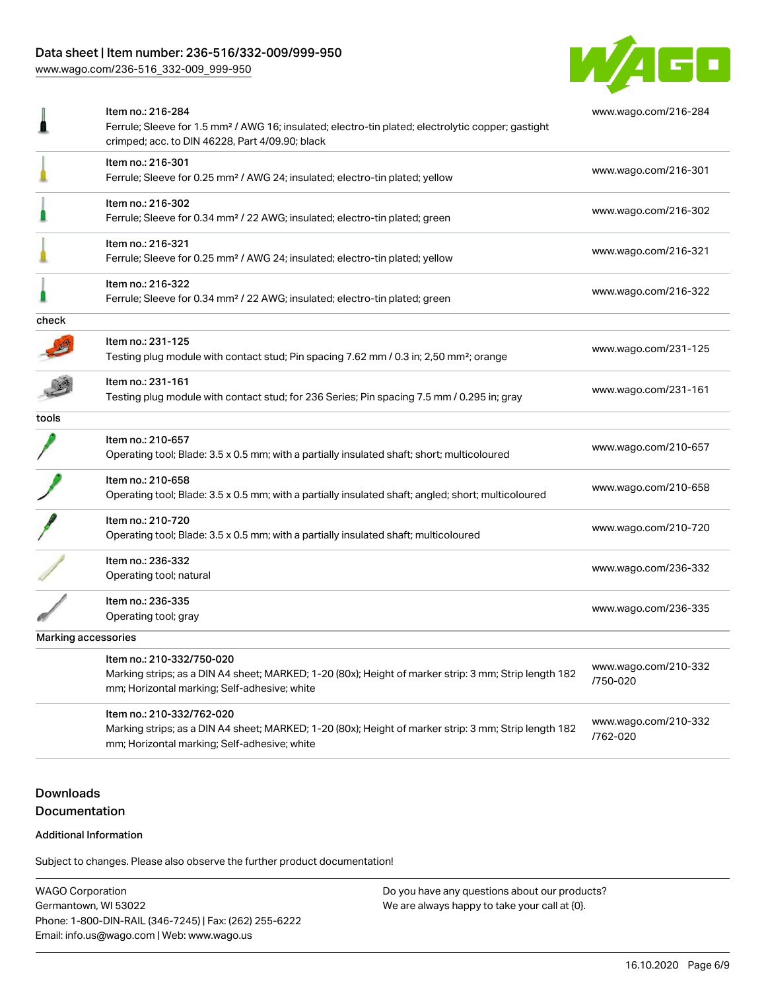## Data sheet | Item number: 236-516/332-009/999-950

[www.wago.com/236-516\\_332-009\\_999-950](http://www.wago.com/236-516_332-009_999-950)



|                     | Item no.: 216-284<br>Ferrule; Sleeve for 1.5 mm <sup>2</sup> / AWG 16; insulated; electro-tin plated; electrolytic copper; gastight<br>crimped; acc. to DIN 46228, Part 4/09.90; black | www.wago.com/216-284             |
|---------------------|----------------------------------------------------------------------------------------------------------------------------------------------------------------------------------------|----------------------------------|
|                     | Item no.: 216-301<br>Ferrule; Sleeve for 0.25 mm <sup>2</sup> / AWG 24; insulated; electro-tin plated; yellow                                                                          | www.wago.com/216-301             |
|                     | Item no.: 216-302<br>Ferrule; Sleeve for 0.34 mm <sup>2</sup> / 22 AWG; insulated; electro-tin plated; green                                                                           | www.wago.com/216-302             |
|                     | Item no.: 216-321<br>Ferrule; Sleeve for 0.25 mm <sup>2</sup> / AWG 24; insulated; electro-tin plated; yellow                                                                          | www.wago.com/216-321             |
|                     | Item no.: 216-322<br>Ferrule; Sleeve for 0.34 mm <sup>2</sup> / 22 AWG; insulated; electro-tin plated; green                                                                           | www.wago.com/216-322             |
| check               |                                                                                                                                                                                        |                                  |
|                     | Item no.: 231-125<br>Testing plug module with contact stud; Pin spacing 7.62 mm / 0.3 in; 2,50 mm <sup>2</sup> ; orange                                                                | www.wago.com/231-125             |
|                     | Item no.: 231-161<br>Testing plug module with contact stud; for 236 Series; Pin spacing 7.5 mm / 0.295 in; gray                                                                        | www.wago.com/231-161             |
| tools               |                                                                                                                                                                                        |                                  |
|                     | Item no.: 210-657<br>Operating tool; Blade: 3.5 x 0.5 mm; with a partially insulated shaft; short; multicoloured                                                                       | www.wago.com/210-657             |
|                     | Item no.: 210-658<br>Operating tool; Blade: 3.5 x 0.5 mm; with a partially insulated shaft; angled; short; multicoloured                                                               | www.wago.com/210-658             |
|                     | Item no.: 210-720<br>Operating tool; Blade: 3.5 x 0.5 mm; with a partially insulated shaft; multicoloured                                                                              | www.wago.com/210-720             |
|                     | Item no.: 236-332<br>Operating tool; natural                                                                                                                                           | www.wago.com/236-332             |
|                     | Item no.: 236-335<br>Operating tool; gray                                                                                                                                              | www.wago.com/236-335             |
| Marking accessories |                                                                                                                                                                                        |                                  |
|                     | Item no.: 210-332/750-020<br>Marking strips; as a DIN A4 sheet; MARKED; 1-20 (80x); Height of marker strip: 3 mm; Strip length 182<br>mm; Horizontal marking; Self-adhesive; white     | www.wago.com/210-332<br>/750-020 |
|                     | Item no.: 210-332/762-020<br>Marking strips; as a DIN A4 sheet; MARKED; 1-20 (80x); Height of marker strip: 3 mm; Strip length 182<br>mm; Horizontal marking; Self-adhesive; white     | www.wago.com/210-332<br>/762-020 |

## Downloads Documentation

#### Additional Information

Subject to changes. Please also observe the further product documentation!

WAGO Corporation Germantown, WI 53022 Phone: 1-800-DIN-RAIL (346-7245) | Fax: (262) 255-6222 Email: info.us@wago.com | Web: www.wago.us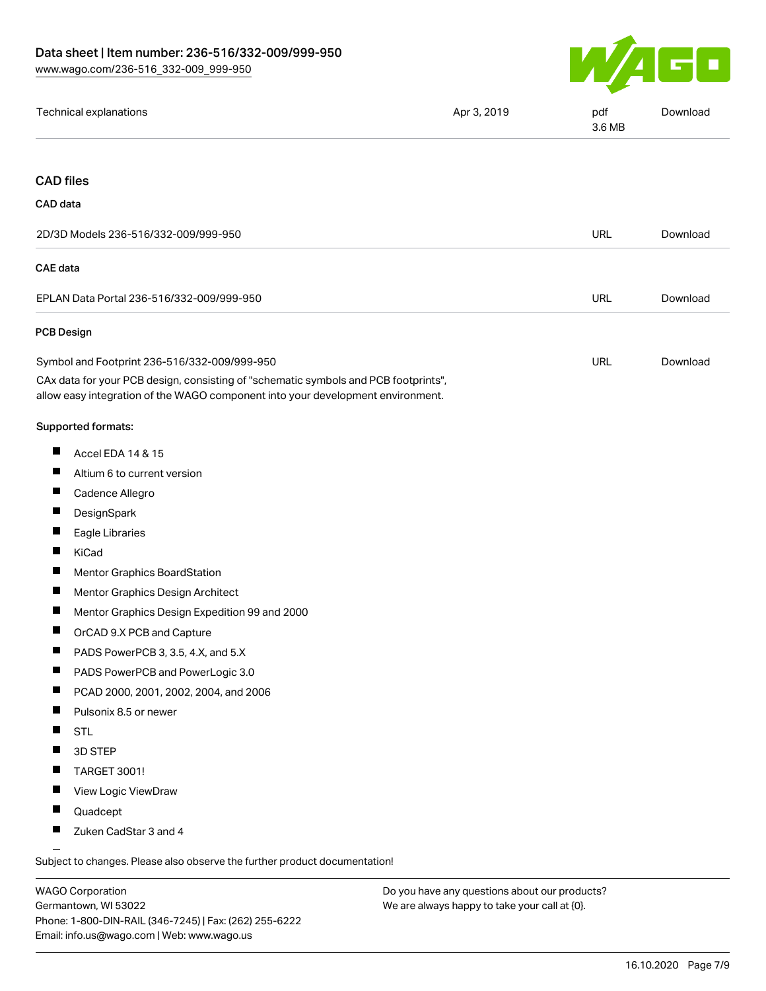

| Technical explanations                                                                                                                                                 | Apr 3, 2019 | pdf<br>3.6 MB | Download |
|------------------------------------------------------------------------------------------------------------------------------------------------------------------------|-------------|---------------|----------|
|                                                                                                                                                                        |             |               |          |
| <b>CAD files</b>                                                                                                                                                       |             |               |          |
| CAD data                                                                                                                                                               |             |               |          |
| 2D/3D Models 236-516/332-009/999-950                                                                                                                                   |             | <b>URL</b>    | Download |
| <b>CAE</b> data                                                                                                                                                        |             |               |          |
| EPLAN Data Portal 236-516/332-009/999-950                                                                                                                              |             | <b>URL</b>    | Download |
| <b>PCB Design</b>                                                                                                                                                      |             |               |          |
| Symbol and Footprint 236-516/332-009/999-950                                                                                                                           |             | URL           | Download |
| CAx data for your PCB design, consisting of "schematic symbols and PCB footprints",<br>allow easy integration of the WAGO component into your development environment. |             |               |          |
| Supported formats:                                                                                                                                                     |             |               |          |
| ш<br>Accel EDA 14 & 15                                                                                                                                                 |             |               |          |
| ш<br>Altium 6 to current version                                                                                                                                       |             |               |          |
| Cadence Allegro<br>ш                                                                                                                                                   |             |               |          |
| Ш<br>DesignSpark                                                                                                                                                       |             |               |          |
| ш<br>Eagle Libraries                                                                                                                                                   |             |               |          |
| ш<br>KiCad                                                                                                                                                             |             |               |          |
| ш<br>Mentor Graphics BoardStation                                                                                                                                      |             |               |          |
| ш<br>Mentor Graphics Design Architect                                                                                                                                  |             |               |          |
| Mentor Graphics Design Expedition 99 and 2000                                                                                                                          |             |               |          |
| ш<br>OrCAD 9.X PCB and Capture                                                                                                                                         |             |               |          |
| PADS PowerPCB 3, 3.5, 4.X, and 5.X<br>M.                                                                                                                               |             |               |          |
| PADS PowerPCB and PowerLogic 3.0<br>ш                                                                                                                                  |             |               |          |
| PCAD 2000, 2001, 2002, 2004, and 2006<br>ш                                                                                                                             |             |               |          |
| Ш<br>Pulsonix 8.5 or newer                                                                                                                                             |             |               |          |
| ш<br><b>STL</b>                                                                                                                                                        |             |               |          |
| 3D STEP                                                                                                                                                                |             |               |          |
| <b>TARGET 3001!</b><br>ш                                                                                                                                               |             |               |          |
| View Logic ViewDraw<br>ш                                                                                                                                               |             |               |          |
| H<br>Quadcept                                                                                                                                                          |             |               |          |
| Zuken CadStar 3 and 4                                                                                                                                                  |             |               |          |
|                                                                                                                                                                        |             |               |          |

Subject to changes. Please also observe the further product documentation!

WAGO Corporation Germantown, WI 53022 Phone: 1-800-DIN-RAIL (346-7245) | Fax: (262) 255-6222 Email: info.us@wago.com | Web: www.wago.us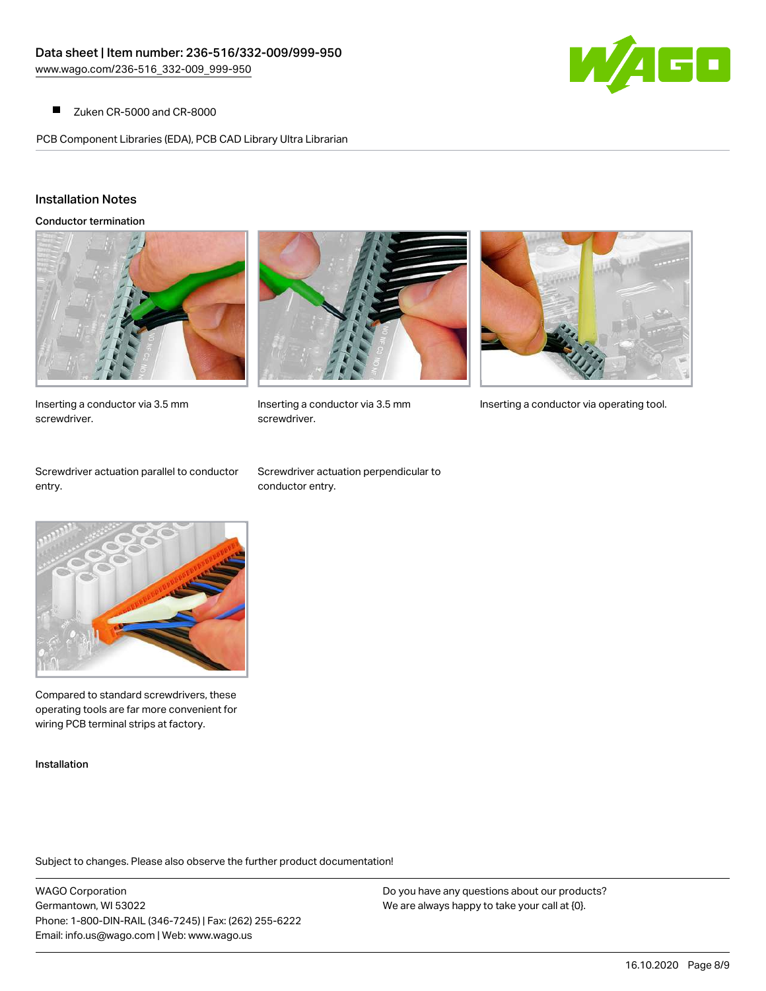

Zuken CR-5000 and CR-8000  $\blacksquare$ 

PCB Component Libraries (EDA), PCB CAD Library Ultra Librarian

## Installation Notes

Conductor termination



Inserting a conductor via 3.5 mm screwdriver.



screwdriver.



Inserting a conductor via 3.5 mm Inserting a conductor via operating tool.

Screwdriver actuation parallel to conductor entry.

Screwdriver actuation perpendicular to conductor entry.



Compared to standard screwdrivers, these operating tools are far more convenient for wiring PCB terminal strips at factory.

Installation

Subject to changes. Please also observe the further product documentation!

WAGO Corporation Germantown, WI 53022 Phone: 1-800-DIN-RAIL (346-7245) | Fax: (262) 255-6222 Email: info.us@wago.com | Web: www.wago.us